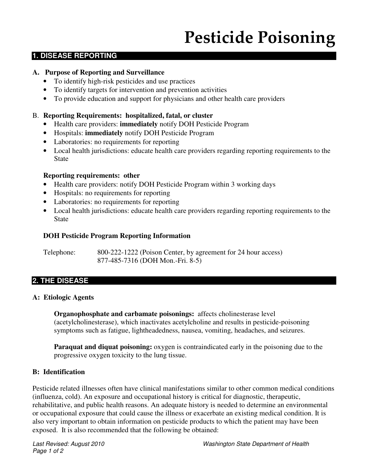# Pesticide Poisoning

# **1. DISEASE REPORTING**

#### **A. Purpose of Reporting and Surveillance**

- To identify high-risk pesticides and use practices
- To identify targets for intervention and prevention activities
- To provide education and support for physicians and other health care providers

#### B. **Reporting Requirements: hospitalized, fatal, or cluster**

- Health care providers: **immediately** notify DOH Pesticide Program
- Hospitals: **immediately** notify DOH Pesticide Program
- Laboratories: no requirements for reporting
- Local health jurisdictions: educate health care providers regarding reporting requirements to the State

#### **Reporting requirements: other**

- Health care providers: notify DOH Pesticide Program within 3 working days
- Hospitals: no requirements for reporting
- Laboratories: no requirements for reporting
- Local health jurisdictions: educate health care providers regarding reporting requirements to the State

#### **DOH Pesticide Program Reporting Information**

Telephone: 800-222-1222 (Poison Center, by agreement for 24 hour access) 877-485-7316 (DOH Mon.-Fri. 8-5)

## **2. THE DISEASE**

#### **A: Etiologic Agents**

**Organophosphate and carbamate poisonings:** affects cholinesterase level (acetylcholinesterase), which inactivates acetylcholine and results in pesticide-poisoning symptoms such as fatigue, lightheadedness, nausea, vomiting, headaches, and seizures.

**Paraquat and diquat poisoning:** oxygen is contraindicated early in the poisoning due to the progressive oxygen toxicity to the lung tissue.

#### **B: Identification**

Pesticide related illnesses often have clinical manifestations similar to other common medical conditions (influenza, cold). An exposure and occupational history is critical for diagnostic, therapeutic, rehabilitative, and public health reasons. An adequate history is needed to determine an environmental or occupational exposure that could cause the illness or exacerbate an existing medical condition. It is also very important to obtain information on pesticide products to which the patient may have been exposed. It is also recommended that the following be obtained: